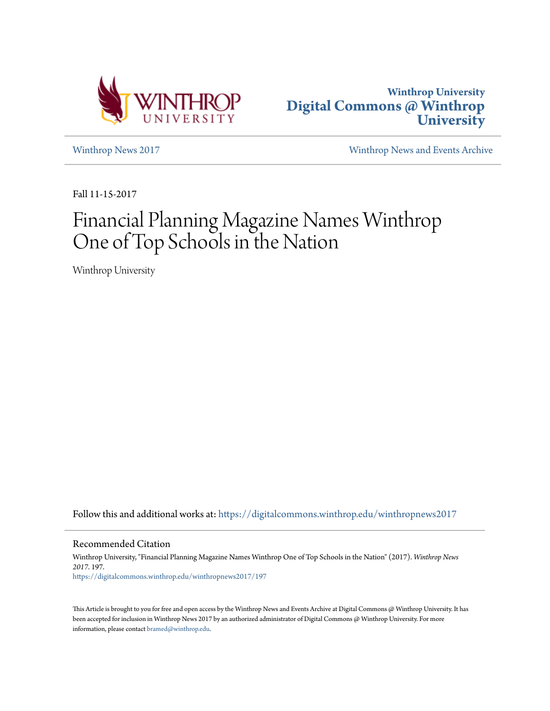



[Winthrop News 2017](https://digitalcommons.winthrop.edu/winthropnews2017?utm_source=digitalcommons.winthrop.edu%2Fwinthropnews2017%2F197&utm_medium=PDF&utm_campaign=PDFCoverPages) [Winthrop News and Events Archive](https://digitalcommons.winthrop.edu/winthropnewsarchives?utm_source=digitalcommons.winthrop.edu%2Fwinthropnews2017%2F197&utm_medium=PDF&utm_campaign=PDFCoverPages)

Fall 11-15-2017

## Financial Planning Magazine Names Winthrop One of Top Schools in the Nation

Winthrop University

Follow this and additional works at: [https://digitalcommons.winthrop.edu/winthropnews2017](https://digitalcommons.winthrop.edu/winthropnews2017?utm_source=digitalcommons.winthrop.edu%2Fwinthropnews2017%2F197&utm_medium=PDF&utm_campaign=PDFCoverPages)

Recommended Citation

Winthrop University, "Financial Planning Magazine Names Winthrop One of Top Schools in the Nation" (2017). *Winthrop News 2017*. 197. [https://digitalcommons.winthrop.edu/winthropnews2017/197](https://digitalcommons.winthrop.edu/winthropnews2017/197?utm_source=digitalcommons.winthrop.edu%2Fwinthropnews2017%2F197&utm_medium=PDF&utm_campaign=PDFCoverPages)

This Article is brought to you for free and open access by the Winthrop News and Events Archive at Digital Commons @ Winthrop University. It has been accepted for inclusion in Winthrop News 2017 by an authorized administrator of Digital Commons @ Winthrop University. For more information, please contact [bramed@winthrop.edu](mailto:bramed@winthrop.edu).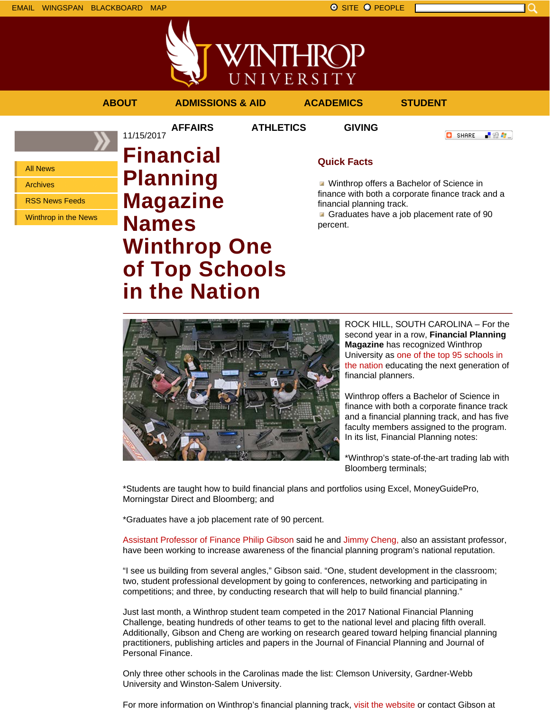EMAIL WINGSPAN BLACKBOARD MAP SITE PEOPLE SAND A SITE PEOPLE







**in the Nation**

ROCK HILL, SOUTH CAROLINA – For the second year in a row, **Financial Planning Magazine** has recognized Winthrop University as one of the top 95 schools in the nation educating the next generation of financial planners.

Winthrop offers a Bachelor of Science in finance with both a corporate finance track and a financial planning track, and has five faculty members assigned to the program. In its list, Financial Planning notes:

\*Winthrop's state-of-the-art trading lab with Bloomberg terminals;

\*Students are taught how to build financial plans and portfolios using Excel, MoneyGuidePro, Morningstar Direct and Bloomberg; and

\*Graduates have a job placement rate of 90 percent.

Assistant Professor of Finance Philip Gibson said he and Jimmy Cheng, also an assistant professor, have been working to increase awareness of the financial planning program's national reputation.

"I see us building from several angles," Gibson said. "One, student development in the classroom; two, student professional development by going to conferences, networking and participating in competitions; and three, by conducting research that will help to build financial planning."

Just last month, a Winthrop student team competed in the 2017 National Financial Planning Challenge, beating hundreds of other teams to get to the national level and placing fifth overall. Additionally, Gibson and Cheng are working on research geared toward helping financial planning practitioners, publishing articles and papers in the Journal of Financial Planning and Journal of Personal Finance.

Only three other schools in the Carolinas made the list: Clemson University, Gardner-Webb University and Winston-Salem University.

For more information on Winthrop's financial planning track, visit the website or contact Gibson at